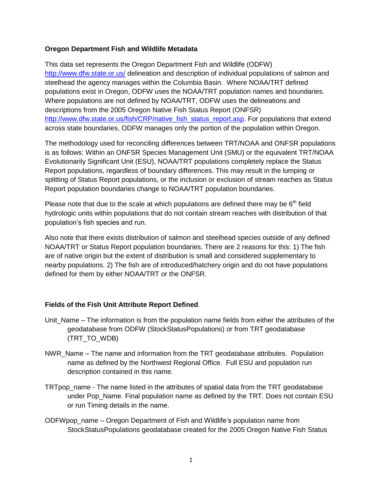## **Oregon Department Fish and Wildlife Metadata**

This data set represents the Oregon Department Fish and Wildlife (ODFW) <http://www.dfw.state.or.us/> delineation and description of individual populations of salmon and steelhead the agency manages within the Columbia Basin. Where NOAA/TRT defined populations exist in Oregon, ODFW uses the NOAA/TRT population names and boundaries. Where populations are not defined by NOAA/TRT, ODFW uses the delineations and descriptions from the 2005 Oregon Native Fish Status Report (ONFSR) [http://www.dfw.state.or.us/fish/CRP/native\\_fish\\_status\\_report.asp.](http://www.dfw.state.or.us/fish/CRP/native_fish_status_report.asp) For populations that extend across state boundaries, ODFW manages only the portion of the population within Oregon.

The methodology used for reconciling differences between TRT/NOAA and ONFSR populations is as follows: Within an ONFSR Species Management Unit (SMU) or the equivalent TRT/NOAA Evolutionarily Significant Unit (ESU), NOAA/TRT populations completely replace the Status Report populations, regardless of boundary differences. This may result in the lumping or splitting of Status Report populations, or the inclusion or exclusion of stream reaches as Status Report population boundaries change to NOAA/TRT population boundaries.

Please note that due to the scale at which populations are defined there may be  $6<sup>th</sup>$  field hydrologic units within populations that do not contain stream reaches with distribution of that population's fish species and run.

Also note that there exists distribution of salmon and steelhead species outside of any defined NOAA/TRT or Status Report population boundaries. There are 2 reasons for this: 1) The fish are of native origin but the extent of distribution is small and considered supplementary to nearby populations. 2) The fish are of introduced/hatchery origin and do not have populations defined for them by either NOAA/TRT or the ONFSR.

## **Fields of the Fish Unit Attribute Report Defined**.

- Unit Name The information is from the population name fields from either the attributes of the geodatabase from ODFW (StockStatusPopulations) or from TRT geodatabase (TRT\_TO\_WDB)
- NWR\_Name The name and information from the TRT geodatabase attributes. Population name as defined by the Northwest Regional Office. Full ESU and population run description contained in this name.
- TRTpop\_name The name listed in the attributes of spatial data from the TRT geodatabase under Pop\_Name. Final population name as defined by the TRT. Does not contain ESU or run Timing details in the name.
- ODFWpop\_name Oregon Department of Fish and Wildlife's population name from StockStatusPopulations geodatabase created for the 2005 Oregon Native Fish Status